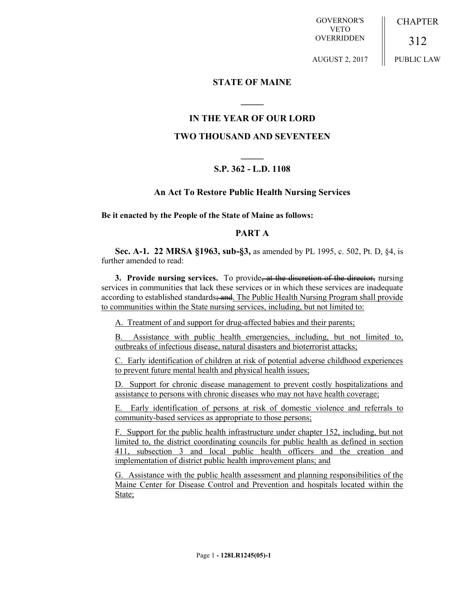GOVERNOR'S VETO OVERRIDDEN **CHAPTER** 312

AUGUST 2, 2017

PUBLIC LAW

## **STATE OF MAINE**

**\_\_\_\_\_**

## **IN THE YEAR OF OUR LORD**

## **TWO THOUSAND AND SEVENTEEN**

# **\_\_\_\_\_ S.P. 362 - L.D. 1108**

## **An Act To Restore Public Health Nursing Services**

#### **Be it enacted by the People of the State of Maine as follows:**

## **PART A**

**Sec. A-1. 22 MRSA §1963, sub-§3,** as amended by PL 1995, c. 502, Pt. D, §4, is further amended to read:

**3. Provide nursing services.** To provide, at the discretion of the director, nursing services in communities that lack these services or in which these services are inadequate according to established standards; and. The Public Health Nursing Program shall provide to communities within the State nursing services, including, but not limited to:

A. Treatment of and support for drug-affected babies and their parents;

B. Assistance with public health emergencies, including, but not limited to, outbreaks of infectious disease, natural disasters and bioterrorist attacks;

C. Early identification of children at risk of potential adverse childhood experiences to prevent future mental health and physical health issues;

D. Support for chronic disease management to prevent costly hospitalizations and assistance to persons with chronic diseases who may not have health coverage;

E. Early identification of persons at risk of domestic violence and referrals to community-based services as appropriate to those persons;

F. Support for the public health infrastructure under chapter 152, including, but not limited to, the district coordinating councils for public health as defined in section 411, subsection 3 and local public health officers and the creation and implementation of district public health improvement plans; and

G. Assistance with the public health assessment and planning responsibilities of the Maine Center for Disease Control and Prevention and hospitals located within the State;